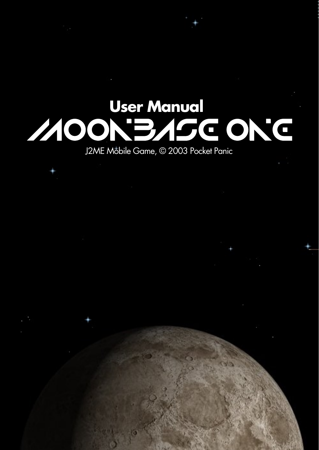# User Manual<br> **MOON BASE ON G**

J2ME Mobile Game, © 2003 Pocket Panic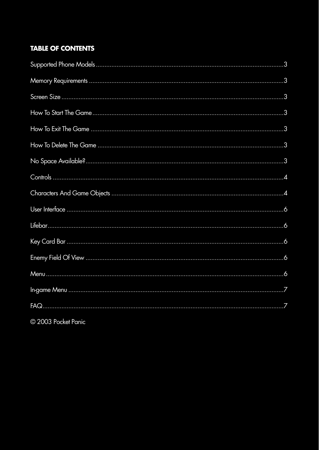# **TABLE OF CONTENTS**

© 2003 Pocket Panic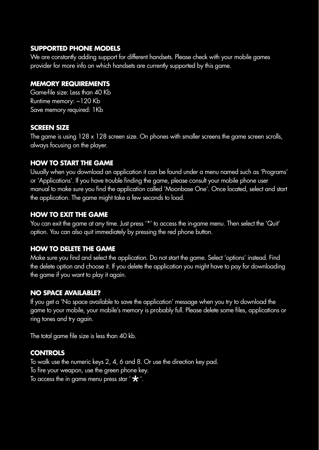#### **SUPPORTED PHONE MODELS**

We are constantly adding support for different handsets. Please check with your mobile games provider for more info on which handsets are currently supported by this game.

# **MEMORY REQUIREMENTS**

Game-file size: Less than 40 Kb Runtime memory: ~120 Kb Save memory required: 1Kb

# **SCREEN SIZE**

The game is using 128 x 128 screen size. On phones with smaller screens the game screen scrolls, always focusing on the player.

# **HOW TO START THE GAME**

Usually when you download an application it can be found under a menu named such as 'Programs' or 'Applications'. If you have trouble finding the game, please consult your mobile phone user manual to make sure you find the application called 'Moonbase One'. Once located, select and start the application. The game might take a few seconds to load.

# **HOW TO EXIT THE GAME**

You can exit the game at any time. Just press '\*' to access the in-game menu. Then select the 'Quit' option. You can also quit immediately by pressing the red phone button.

# **HOW TO DELETE THE GAME**

Make sure you find and select the application. Do not start the game. Select 'options' instead. Find the delete option and choose it. If you delete the application you might have to pay for downloading the game if you want to play it again.

# **NO SPACE AVAILABLE?**

If you get a 'No space available to save the application' message when you try to download the game to your mobile, your mobile's memory is probably full. Please delete some files, applications or ring tones and try again.

The total game file size is less than 40 kb.

# **CONTROLS**

To walk use the numeric keys 2, 4, 6 and 8. Or use the direction key pad. To fire your weapon, use the green phone key. To access the in game menu press star ' $*$ '.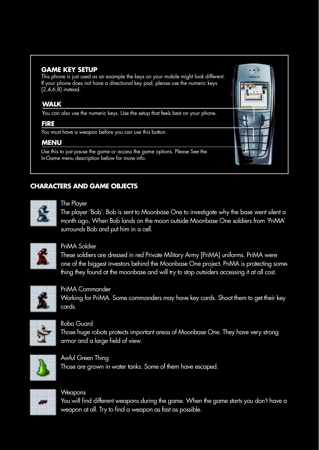## **GAME KEY SETUP**

This phone is just used as an example the keys on your mobile might look different. If your phone does not have a directional key pad, please use the numeric keys  $[2,4,6,8]$  instead.

## **WALK**

You can also use the numeric keys. Use the setup that feels best on your phone.

#### **FIRE**

You must have a weapon before you can use this button.

## **MENU**

Use this to just pause the game or access the game options. Please See the In-Game menu description below for more info.

# **CHARACTERS AND GAME OBJECTS**



#### The Player

The player 'Bob'. Bob is sent to Moonbase One to investigate why the base went silent a month ago. When Bob lands on the moon outside Moonbase One soldiers from 'PriMA' surrounds Bob and put him in a cell.



# PriMA Soldier

These soldiers are dressed in red Private Military Army [PriMA] uniforms. PriMA were one of the biggest investors behind the Moonbase One project. PriMA is protecting something they found at the moonbase and will try to stop outsiders accessing it at all cost.



PriMA Commander Working for PriMA. Some commanders may have key cards. Shoot them to get their key cards.



Robo Guard Those huge robots protects important areas of Moonbase One. They have very strong armor and a large field of view.



Awful Green Thing Those are grown in water tanks. Some of them have escaped.



# **Weapons**

You will find different weapons during the game. When the game starts you don't have a weapon at all. Try to find a weapon as fast as possible.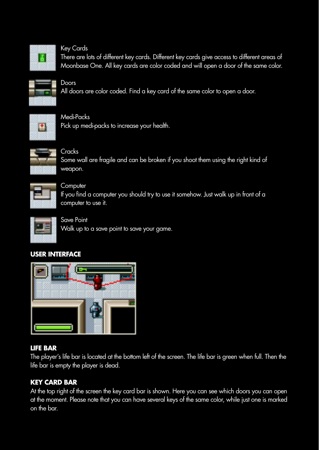

#### Key Cards

Doors

There are lots of different key cards. Different key cards give access to different areas of Moonbase One. All key cards are color coded and will open a door of the same color.



All doors are color coded. Find a key card of the same color to open a door.



Medi-Packs Pick up medi-packs to increase your health.



Cracks Some wall are fragile and can be broken if you shoot them using the right kind of weapon.



**Computer** If you find a computer you should try to use it somehow. Just walk up in front of a computer to use it.



Save Point

Walk up to a save point to save your game.

# **USER INTERFACE**



## **LIFE BAR**

The player's life bar is located at the bottom left of the screen. The life bar is green when full. Then the life bar is empty the player is dead.

# **KEY CARD BAR**

At the top right of the screen the key card bar is shown. Here you can see which doors you can open at the moment. Please note that you can have several keys of the same color, while just one is marked on the bar.